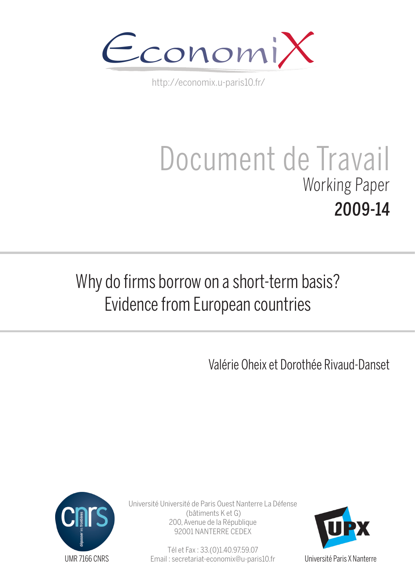

http://economix.u-paris10.fr/

# Document de Travail Working Paper 2009-14

# Why do firms borrow on a short-term basis? Evidence from European countries

Valérie Oheix et Dorothée Rivaud-Danset



Université Université de Paris Ouest Nanterre La Défense (bâtiments K et G) 200, Avenue de la République 92001 NANTERRE CEDEX

> Tél et Fax : 33.(0)1.40.97.59.07 Email : secretariat-economix@u-paris10.fr



Université Paris X Nanterre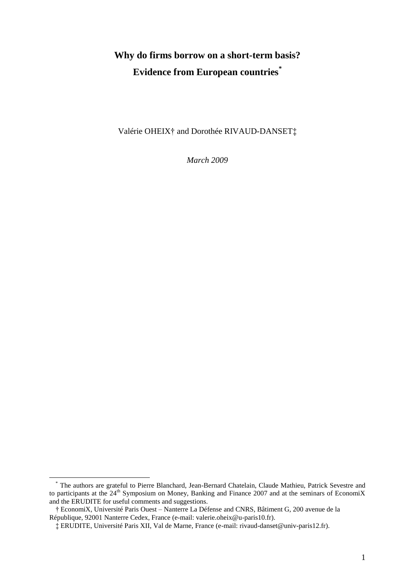# **Why do firms borrow on a short-term basis? Evidence from European countries\***

Valérie OHEIX† and Dorothée RIVAUD-DANSET‡

*March 2009*

1

<sup>\*</sup> The authors are grateful to Pierre Blanchard, Jean-Bernard Chatelain, Claude Mathieu, Patrick Sevestre and to participants at the  $24<sup>th</sup>$  Symposium on Money, Banking and Finance 2007 and at the seminars of EconomiX and the ERUDITE for useful comments and suggestions.

<sup>†</sup> EconomiX, Université Paris Ouest – Nanterre La Défense and CNRS, Bâtiment G, 200 avenue de la République, 92001 Nanterre Cedex, France (e-mail: valerie.oheix@u-paris10.fr).

<sup>‡</sup> ERUDITE, Université Paris XII, Val de Marne, France (e-mail: rivaud-danset@univ-paris12.fr).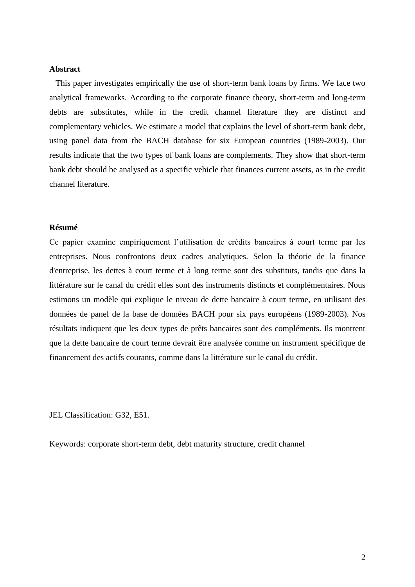## **Abstract**

This paper investigates empirically the use of short-term bank loans by firms. We face two analytical frameworks. According to the corporate finance theory, short-term and long-term debts are substitutes, while in the credit channel literature they are distinct and complementary vehicles. We estimate a model that explains the level of short-term bank debt, using panel data from the BACH database for six European countries (1989-2003). Our results indicate that the two types of bank loans are complements. They show that short-term bank debt should be analysed as a specific vehicle that finances current assets, as in the credit channel literature.

# **Résumé**

Ce papier examine empiriquement l"utilisation de crédits bancaires à court terme par les entreprises. Nous confrontons deux cadres analytiques. Selon la théorie de la finance d'entreprise, les dettes à court terme et à long terme sont des substituts, tandis que dans la littérature sur le canal du crédit elles sont des instruments distincts et complémentaires. Nous estimons un modèle qui explique le niveau de dette bancaire à court terme, en utilisant des données de panel de la base de données BACH pour six pays européens (1989-2003). Nos résultats indiquent que les deux types de prêts bancaires sont des compléments. Ils montrent que la dette bancaire de court terme devrait être analysée comme un instrument spécifique de financement des actifs courants, comme dans la littérature sur le canal du crédit.

JEL Classification: G32, E51.

Keywords: corporate short-term debt, debt maturity structure, credit channel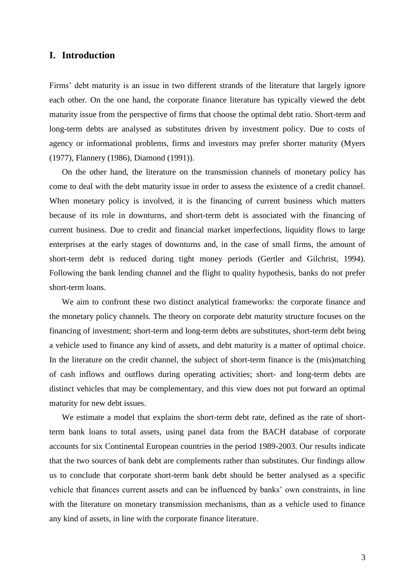# **I. Introduction**

Firms' debt maturity is an issue in two different strands of the literature that largely ignore each other. On the one hand, the corporate finance literature has typically viewed the debt maturity issue from the perspective of firms that choose the optimal debt ratio. Short-term and long-term debts are analysed as substitutes driven by investment policy. Due to costs of agency or informational problems, firms and investors may prefer shorter maturity (Myers (1977), Flannery (1986), Diamond (1991)).

On the other hand, the literature on the transmission channels of monetary policy has come to deal with the debt maturity issue in order to assess the existence of a credit channel. When monetary policy is involved, it is the financing of current business which matters because of its role in downturns, and short-term debt is associated with the financing of current business. Due to credit and financial market imperfections, liquidity flows to large enterprises at the early stages of downturns and, in the case of small firms, the amount of short-term debt is reduced during tight money periods (Gertler and Gilchrist, 1994). Following the bank lending channel and the flight to quality hypothesis, banks do not prefer short-term loans.

We aim to confront these two distinct analytical frameworks: the corporate finance and the monetary policy channels. The theory on corporate debt maturity structure focuses on the financing of investment; short-term and long-term debts are substitutes, short-term debt being a vehicle used to finance any kind of assets, and debt maturity is a matter of optimal choice. In the literature on the credit channel, the subject of short-term finance is the (mis)matching of cash inflows and outflows during operating activities; short- and long-term debts are distinct vehicles that may be complementary, and this view does not put forward an optimal maturity for new debt issues.

We estimate a model that explains the short-term debt rate, defined as the rate of shortterm bank loans to total assets, using panel data from the BACH database of corporate accounts for six Continental European countries in the period 1989-2003. Our results indicate that the two sources of bank debt are complements rather than substitutes. Our findings allow us to conclude that corporate short-term bank debt should be better analysed as a specific vehicle that finances current assets and can be influenced by banks" own constraints, in line with the literature on monetary transmission mechanisms, than as a vehicle used to finance any kind of assets, in line with the corporate finance literature.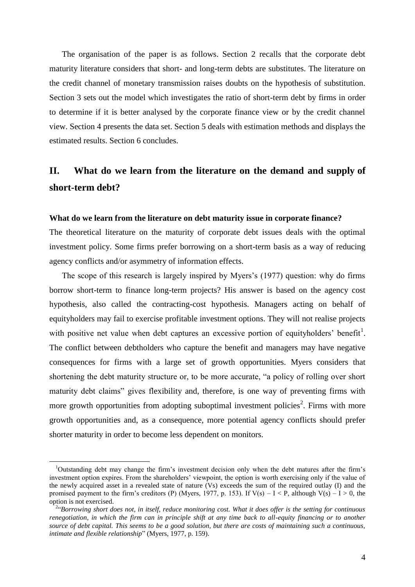The organisation of the paper is as follows. Section 2 recalls that the corporate debt maturity literature considers that short- and long-term debts are substitutes. The literature on the credit channel of monetary transmission raises doubts on the hypothesis of substitution. Section 3 sets out the model which investigates the ratio of short-term debt by firms in order to determine if it is better analysed by the corporate finance view or by the credit channel view. Section 4 presents the data set. Section 5 deals with estimation methods and displays the estimated results. Section 6 concludes.

# **II. What do we learn from the literature on the demand and supply of short-term debt?**

# **What do we learn from the literature on debt maturity issue in corporate finance?**

The theoretical literature on the maturity of corporate debt issues deals with the optimal investment policy. Some firms prefer borrowing on a short-term basis as a way of reducing agency conflicts and/or asymmetry of information effects.

The scope of this research is largely inspired by Myers's (1977) question: why do firms borrow short-term to finance long-term projects? His answer is based on the agency cost hypothesis, also called the contracting-cost hypothesis. Managers acting on behalf of equityholders may fail to exercise profitable investment options. They will not realise projects with positive net value when debt captures an excessive portion of equityholders' benefit<sup>1</sup>. The conflict between debtholders who capture the benefit and managers may have negative consequences for firms with a large set of growth opportunities. Myers considers that shortening the debt maturity structure or, to be more accurate, "a policy of rolling over short maturity debt claims" gives flexibility and, therefore, is one way of preventing firms with more growth opportunities from adopting suboptimal investment policies<sup>2</sup>. Firms with more growth opportunities and, as a consequence, more potential agency conflicts should prefer shorter maturity in order to become less dependent on monitors.

1

<sup>1</sup>Outstanding debt may change the firm"s investment decision only when the debt matures after the firm"s investment option expires. From the shareholders' viewpoint, the option is worth exercising only if the value of the newly acquired asset in a revealed state of nature (Vs) exceeds the sum of the required outlay (I) and the promised payment to the firm's creditors (P) (Myers, 1977, p. 153). If  $V(s) - I < P$ , although  $V(s) - I > 0$ , the option is not exercised.

<sup>2</sup> "*Borrowing short does not, in itself, reduce monitoring cost. What it does offer is the setting for continuous renegotiation, in which the firm can in principle shift at any time back to all-equity financing or to another source of debt capital. This seems to be a good solution, but there are costs of maintaining such a continuous, intimate and flexible relationship*" (Myers, 1977, p. 159).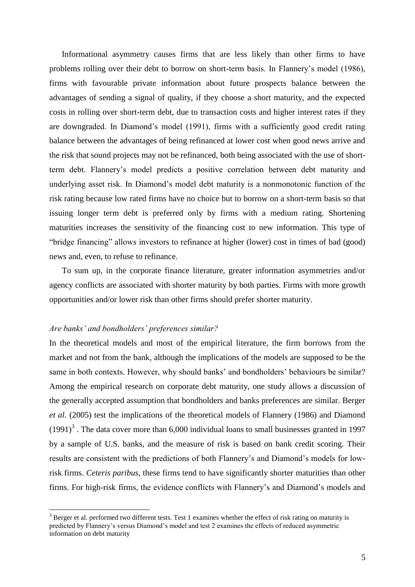Informational asymmetry causes firms that are less likely than other firms to have problems rolling over their debt to borrow on short-term basis. In Flannery"s model (1986), firms with favourable private information about future prospects balance between the advantages of sending a signal of quality, if they choose a short maturity, and the expected costs in rolling over short-term debt, due to transaction costs and higher interest rates if they are downgraded. In Diamond"s model (1991), firms with a sufficiently good credit rating balance between the advantages of being refinanced at lower cost when good news arrive and the risk that sound projects may not be refinanced, both being associated with the use of shortterm debt. Flannery"s model predicts a positive correlation between debt maturity and underlying asset risk. In Diamond"s model debt maturity is a nonmonotonic function of the risk rating because low rated firms have no choice but to borrow on a short-term basis so that issuing longer term debt is preferred only by firms with a medium rating. Shortening maturities increases the sensitivity of the financing cost to new information. This type of "bridge financing" allows investors to refinance at higher (lower) cost in times of bad (good) news and, even, to refuse to refinance.

To sum up, in the corporate finance literature, greater information asymmetries and/or agency conflicts are associated with shorter maturity by both parties. Firms with more growth opportunities and/or lower risk than other firms should prefer shorter maturity.

# *Are banks' and bondholders' preferences similar?*

1

In the theoretical models and most of the empirical literature, the firm borrows from the market and not from the bank, although the implications of the models are supposed to be the same in both contexts. However, why should banks' and bondholders' behaviours be similar? Among the empirical research on corporate debt maturity, one study allows a discussion of the generally accepted assumption that bondholders and banks preferences are similar. Berger *et al.* (2005) test the implications of the theoretical models of Flannery (1986) and Diamond  $(1991)^3$ . The data cover more than 6,000 individual loans to small businesses granted in 1997 by a sample of U.S. banks, and the measure of risk is based on bank credit scoring. Their results are consistent with the predictions of both Flannery"s and Diamond"s models for lowrisk firms. *Ceteris paribus*, these firms tend to have significantly shorter maturities than other firms. For high-risk firms, the evidence conflicts with Flannery"s and Diamond"s models and

<sup>&</sup>lt;sup>3</sup> Berger et al. performed two different tests. Test 1 examines whether the effect of risk rating on maturity is predicted by Flannery's versus Diamond's model and test 2 examines the effects of reduced asymmetric information on debt maturity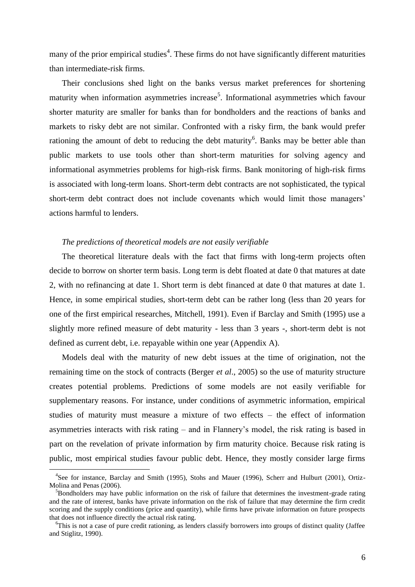many of the prior empirical studies<sup>4</sup>. These firms do not have significantly different maturities than intermediate-risk firms.

Their conclusions shed light on the banks versus market preferences for shortening maturity when information asymmetries increase<sup>5</sup>. Informational asymmetries which favour shorter maturity are smaller for banks than for bondholders and the reactions of banks and markets to risky debt are not similar. Confronted with a risky firm, the bank would prefer rationing the amount of debt to reducing the debt maturity<sup>6</sup>. Banks may be better able than public markets to use tools other than short-term maturities for solving agency and informational asymmetries problems for high-risk firms. Bank monitoring of high-risk firms is associated with long-term loans. Short-term debt contracts are not sophisticated, the typical short-term debt contract does not include covenants which would limit those managers" actions harmful to lenders.

# *The predictions of theoretical models are not easily verifiable*

The theoretical literature deals with the fact that firms with long-term projects often decide to borrow on shorter term basis. Long term is debt floated at date 0 that matures at date 2, with no refinancing at date 1. Short term is debt financed at date 0 that matures at date 1. Hence, in some empirical studies, short-term debt can be rather long (less than 20 years for one of the first empirical researches, Mitchell, 1991). Even if Barclay and Smith (1995) use a slightly more refined measure of debt maturity - less than 3 years -, short-term debt is not defined as current debt, i.e. repayable within one year (Appendix A).

Models deal with the maturity of new debt issues at the time of origination, not the remaining time on the stock of contracts (Berger *et al*., 2005) so the use of maturity structure creates potential problems. Predictions of some models are not easily verifiable for supplementary reasons. For instance, under conditions of asymmetric information, empirical studies of maturity must measure a mixture of two effects – the effect of information asymmetries interacts with risk rating – and in Flannery"s model, the risk rating is based in part on the revelation of private information by firm maturity choice. Because risk rating is public, most empirical studies favour public debt. Hence, they mostly consider large firms

<u>.</u>

<sup>&</sup>lt;sup>4</sup>See for instance, Barclay and Smith (1995), Stohs and Mauer (1996), Scherr and Hulburt (2001), Ortiz-Molina and Penas (2006).

<sup>&</sup>lt;sup>5</sup>Bondholders may have public information on the risk of failure that determines the investment-grade rating and the rate of interest, banks have private information on the risk of failure that may determine the firm credit scoring and the supply conditions (price and quantity), while firms have private information on future prospects that does not influence directly the actual risk rating.

<sup>6</sup>This is not a case of pure credit rationing, as lenders classify borrowers into groups of distinct quality (Jaffee and Stiglitz, 1990).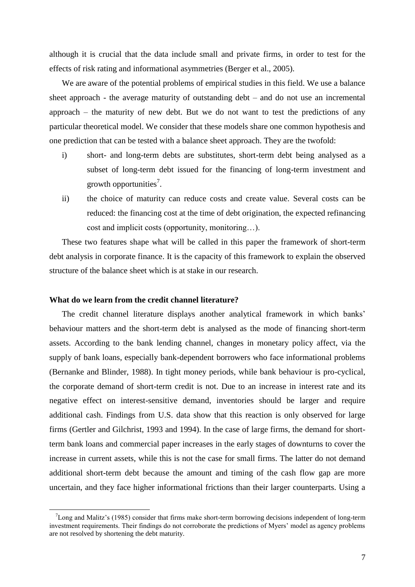although it is crucial that the data include small and private firms, in order to test for the effects of risk rating and informational asymmetries (Berger et al., 2005).

We are aware of the potential problems of empirical studies in this field. We use a balance sheet approach - the average maturity of outstanding debt – and do not use an incremental approach – the maturity of new debt. But we do not want to test the predictions of any particular theoretical model. We consider that these models share one common hypothesis and one prediction that can be tested with a balance sheet approach. They are the twofold:

- i) short- and long-term debts are substitutes, short-term debt being analysed as a subset of long-term debt issued for the financing of long-term investment and growth opportunities<sup>7</sup>.
- ii) the choice of maturity can reduce costs and create value. Several costs can be reduced: the financing cost at the time of debt origination, the expected refinancing cost and implicit costs (opportunity, monitoring…).

These two features shape what will be called in this paper the framework of short-term debt analysis in corporate finance. It is the capacity of this framework to explain the observed structure of the balance sheet which is at stake in our research.

# **What do we learn from the credit channel literature?**

1

The credit channel literature displays another analytical framework in which banks" behaviour matters and the short-term debt is analysed as the mode of financing short-term assets. According to the bank lending channel, changes in monetary policy affect, via the supply of bank loans, especially bank-dependent borrowers who face informational problems (Bernanke and Blinder, 1988). In tight money periods, while bank behaviour is pro-cyclical, the corporate demand of short-term credit is not. Due to an increase in interest rate and its negative effect on interest-sensitive demand, inventories should be larger and require additional cash. Findings from U.S. data show that this reaction is only observed for large firms (Gertler and Gilchrist, 1993 and 1994). In the case of large firms, the demand for shortterm bank loans and commercial paper increases in the early stages of downturns to cover the increase in current assets, while this is not the case for small firms. The latter do not demand additional short-term debt because the amount and timing of the cash flow gap are more uncertain, and they face higher informational frictions than their larger counterparts. Using a

 $7$ Long and Malitz's (1985) consider that firms make short-term borrowing decisions independent of long-term investment requirements. Their findings do not corroborate the predictions of Myers" model as agency problems are not resolved by shortening the debt maturity.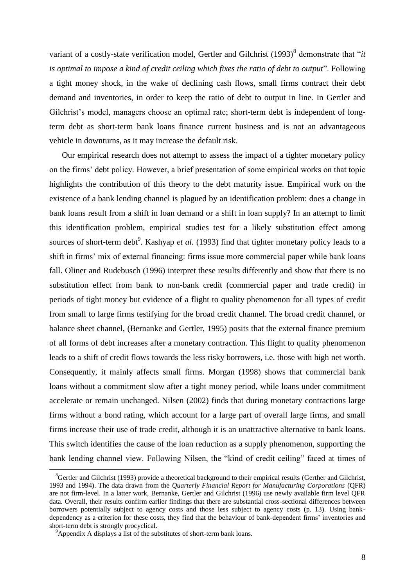variant of a costly-state verification model, Gertler and Gilchrist (1993)<sup>8</sup> demonstrate that "*it is optimal to impose a kind of credit ceiling which fixes the ratio of debt to output*". Following a tight money shock, in the wake of declining cash flows, small firms contract their debt demand and inventories, in order to keep the ratio of debt to output in line. In Gertler and Gilchrist's model, managers choose an optimal rate; short-term debt is independent of longterm debt as short-term bank loans finance current business and is not an advantageous vehicle in downturns, as it may increase the default risk.

Our empirical research does not attempt to assess the impact of a tighter monetary policy on the firms" debt policy. However, a brief presentation of some empirical works on that topic highlights the contribution of this theory to the debt maturity issue. Empirical work on the existence of a bank lending channel is plagued by an identification problem: does a change in bank loans result from a shift in loan demand or a shift in loan supply? In an attempt to limit this identification problem, empirical studies test for a likely substitution effect among sources of short-term debt<sup>9</sup>. Kashyap *et al.* (1993) find that tighter monetary policy leads to a shift in firms' mix of external financing: firms issue more commercial paper while bank loans fall. Oliner and Rudebusch (1996) interpret these results differently and show that there is no substitution effect from bank to non-bank credit (commercial paper and trade credit) in periods of tight money but evidence of a flight to quality phenomenon for all types of credit from small to large firms testifying for the broad credit channel. The broad credit channel, or balance sheet channel, (Bernanke and Gertler, 1995) posits that the external finance premium of all forms of debt increases after a monetary contraction. This flight to quality phenomenon leads to a shift of credit flows towards the less risky borrowers, i.e. those with high net worth. Consequently, it mainly affects small firms. Morgan (1998) shows that commercial bank loans without a commitment slow after a tight money period, while loans under commitment accelerate or remain unchanged. Nilsen (2002) finds that during monetary contractions large firms without a bond rating, which account for a large part of overall large firms, and small firms increase their use of trade credit, although it is an unattractive alternative to bank loans. This switch identifies the cause of the loan reduction as a supply phenomenon, supporting the bank lending channel view. Following Nilsen, the "kind of credit ceiling" faced at times of

<u>.</u>

 ${}^{8}$ Gertler and Gilchrist (1993) provide a theoretical background to their empirical results (Gerther and Gilchrist, 1993 and 1994). The data drawn from the *Quarterly Financial Report for Manufacturing Corporations* (QFR) are not firm-level. In a latter work, Bernanke, Gertler and Gilchrist (1996) use newly available firm level QFR data. Overall, their results confirm earlier findings that there are substantial cross-sectional differences between borrowers potentially subject to agency costs and those less subject to agency costs (p. 13). Using bankdependency as a criterion for these costs, they find that the behaviour of bank-dependent firms" inventories and short-term debt is strongly procyclical.

<sup>&</sup>lt;sup>9</sup>Appendix A displays a list of the substitutes of short-term bank loans.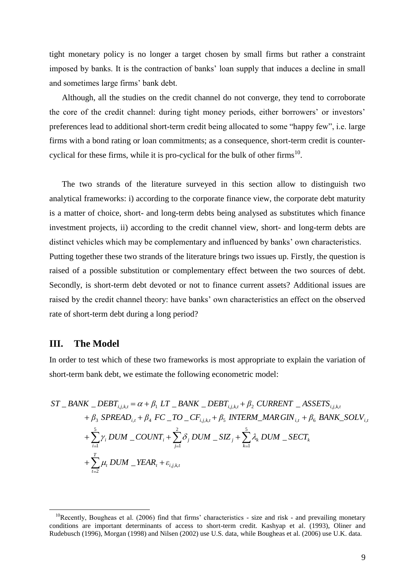tight monetary policy is no longer a target chosen by small firms but rather a constraint imposed by banks. It is the contraction of banks" loan supply that induces a decline in small and sometimes large firms" bank debt.

Although, all the studies on the credit channel do not converge, they tend to corroborate the core of the credit channel: during tight money periods, either borrowers' or investors' preferences lead to additional short-term credit being allocated to some "happy few", i.e. large firms with a bond rating or loan commitments; as a consequence, short-term credit is countercyclical for these firms, while it is pro-cyclical for the bulk of other firms<sup>10</sup>.

The two strands of the literature surveyed in this section allow to distinguish two analytical frameworks: i) according to the corporate finance view, the corporate debt maturity is a matter of choice, short- and long-term debts being analysed as substitutes which finance investment projects, ii) according to the credit channel view, short- and long-term debts are distinct vehicles which may be complementary and influenced by banks' own characteristics. Putting together these two strands of the literature brings two issues up. Firstly, the question is raised of a possible substitution or complementary effect between the two sources of debt. Secondly, is short-term debt devoted or not to finance current assets? Additional issues are raised by the credit channel theory: have banks" own characteristics an effect on the observed rate of short-term debt during a long period?

# **III. The Model**

1

In order to test which of these two frameworks is most appropriate to explain the variation of short-term bank debt, we estimate the following econometric model:

short-term bank debt, we estimate the following econometric model:  
\n
$$
ST \_BANK \_DEBT_{i,j,k,t} = \alpha + \beta_1 LT \_BANK \_DEBT_{i,j,k,t} + \beta_2 CURRENT \_ASSETS_{i,j,k,t} + \beta_3 SPREAD_{i,t} + \beta_4 FC \_TO \_CF_{i,j,k,t} + \beta_5 INTERM \_MAR \, GIN_{i,t} + \beta_6 BANK \_SOLV_{i,t} + \sum_{i=1}^5 \gamma_i DUM \_COUNT_i + \sum_{j=1}^2 \delta_j DUM \_SIZ_j + \sum_{k=1}^5 \lambda_k DUM \_SECT_k + \sum_{t=2}^T \mu_t DUM \_YEAR_t + \varepsilon_{i,j,k,t}
$$

<sup>&</sup>lt;sup>10</sup>Recently, Bougheas et al. (2006) find that firms' characteristics - size and risk - and prevailing monetary conditions are important determinants of access to short-term credit. Kashyap et al. (1993), Oliner and Rudebusch (1996), Morgan (1998) and Nilsen (2002) use U.S. data, while Bougheas et al. (2006) use U.K. data.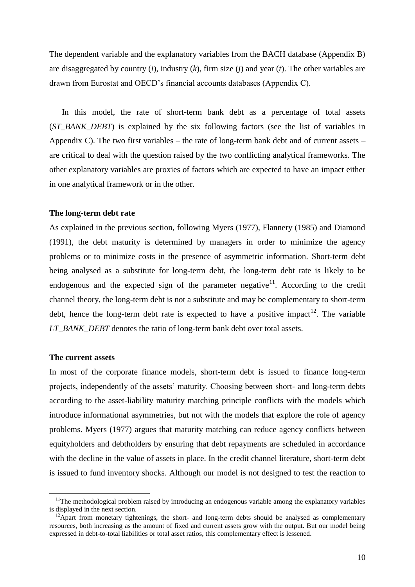The dependent variable and the explanatory variables from the BACH database (Appendix B) are disaggregated by country (*i*), industry (*k*), firm size (*j*) and year (*t*). The other variables are drawn from Eurostat and OECD"s financial accounts databases (Appendix C).

In this model, the rate of short-term bank debt as a percentage of total assets (*ST\_BANK\_DEBT*) is explained by the six following factors (see the list of variables in Appendix C). The two first variables – the rate of long-term bank debt and of current assets – are critical to deal with the question raised by the two conflicting analytical frameworks. The other explanatory variables are proxies of factors which are expected to have an impact either in one analytical framework or in the other.

#### **The long-term debt rate**

As explained in the previous section, following Myers (1977), Flannery (1985) and Diamond (1991), the debt maturity is determined by managers in order to minimize the agency problems or to minimize costs in the presence of asymmetric information. Short-term debt being analysed as a substitute for long-term debt, the long-term debt rate is likely to be endogenous and the expected sign of the parameter negative<sup>11</sup>. According to the credit channel theory, the long-term debt is not a substitute and may be complementary to short-term debt, hence the long-term debt rate is expected to have a positive impact<sup>12</sup>. The variable *LT\_BANK\_DEBT* denotes the ratio of long-term bank debt over total assets.

#### **The current assets**

<u>.</u>

In most of the corporate finance models, short-term debt is issued to finance long-term projects, independently of the assets' maturity. Choosing between short- and long-term debts according to the asset-liability maturity matching principle conflicts with the models which introduce informational asymmetries, but not with the models that explore the role of agency problems. Myers (1977) argues that maturity matching can reduce agency conflicts between equityholders and debtholders by ensuring that debt repayments are scheduled in accordance with the decline in the value of assets in place. In the credit channel literature, short-term debt is issued to fund inventory shocks. Although our model is not designed to test the reaction to

<sup>&</sup>lt;sup>11</sup>The methodological problem raised by introducing an endogenous variable among the explanatory variables is displayed in the next section.

 $12$ Apart from monetary tightenings, the short- and long-term debts should be analysed as complementary resources, both increasing as the amount of fixed and current assets grow with the output. But our model being expressed in debt-to-total liabilities or total asset ratios, this complementary effect is lessened.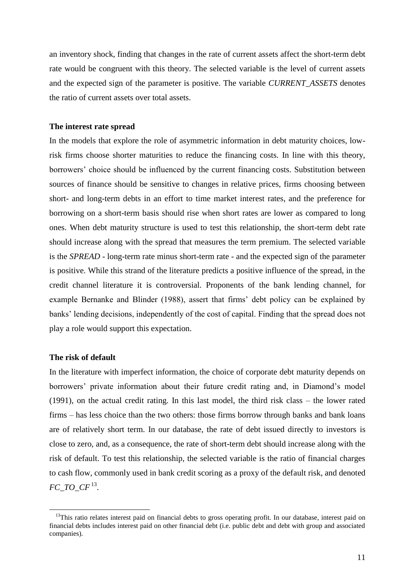an inventory shock, finding that changes in the rate of current assets affect the short-term debt rate would be congruent with this theory. The selected variable is the level of current assets and the expected sign of the parameter is positive. The variable *CURRENT\_ASSETS* denotes the ratio of current assets over total assets.

## **The interest rate spread**

In the models that explore the role of asymmetric information in debt maturity choices, lowrisk firms choose shorter maturities to reduce the financing costs. In line with this theory, borrowers" choice should be influenced by the current financing costs. Substitution between sources of finance should be sensitive to changes in relative prices, firms choosing between short- and long-term debts in an effort to time market interest rates, and the preference for borrowing on a short-term basis should rise when short rates are lower as compared to long ones. When debt maturity structure is used to test this relationship, the short-term debt rate should increase along with the spread that measures the term premium. The selected variable is the *SPREAD* - long-term rate minus short-term rate - and the expected sign of the parameter is positive. While this strand of the literature predicts a positive influence of the spread, in the credit channel literature it is controversial. Proponents of the bank lending channel, for example Bernanke and Blinder (1988), assert that firms' debt policy can be explained by banks" lending decisions, independently of the cost of capital. Finding that the spread does not play a role would support this expectation.

## **The risk of default**

1

In the literature with imperfect information, the choice of corporate debt maturity depends on borrowers' private information about their future credit rating and, in Diamond's model (1991), on the actual credit rating. In this last model, the third risk class – the lower rated firms – has less choice than the two others: those firms borrow through banks and bank loans are of relatively short term. In our database, the rate of debt issued directly to investors is close to zero, and, as a consequence, the rate of short-term debt should increase along with the risk of default. To test this relationship, the selected variable is the ratio of financial charges to cash flow, commonly used in bank credit scoring as a proxy of the default risk, and denoted  $FC\_TO\_CF$ <sup>13</sup>.

<sup>&</sup>lt;sup>13</sup>This ratio relates interest paid on financial debts to gross operating profit. In our database, interest paid on financial debts includes interest paid on other financial debt (i.e. public debt and debt with group and associated companies).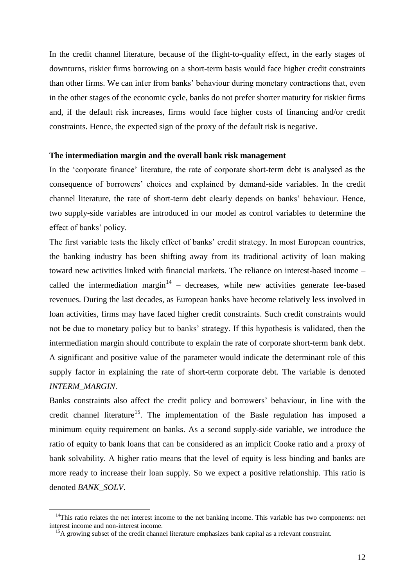In the credit channel literature, because of the flight-to-quality effect, in the early stages of downturns, riskier firms borrowing on a short-term basis would face higher credit constraints than other firms. We can infer from banks" behaviour during monetary contractions that, even in the other stages of the economic cycle, banks do not prefer shorter maturity for riskier firms and, if the default risk increases, firms would face higher costs of financing and/or credit constraints. Hence, the expected sign of the proxy of the default risk is negative.

#### **The intermediation margin and the overall bank risk management**

In the 'corporate finance' literature, the rate of corporate short-term debt is analysed as the consequence of borrowers" choices and explained by demand-side variables. In the credit channel literature, the rate of short-term debt clearly depends on banks" behaviour. Hence, two supply-side variables are introduced in our model as control variables to determine the effect of banks" policy.

The first variable tests the likely effect of banks' credit strategy. In most European countries, the banking industry has been shifting away from its traditional activity of loan making toward new activities linked with financial markets. The reliance on interest-based income – called the intermediation margin<sup>14</sup> – decreases, while new activities generate fee-based revenues. During the last decades, as European banks have become relatively less involved in loan activities, firms may have faced higher credit constraints. Such credit constraints would not be due to monetary policy but to banks" strategy. If this hypothesis is validated, then the intermediation margin should contribute to explain the rate of corporate short-term bank debt. A significant and positive value of the parameter would indicate the determinant role of this supply factor in explaining the rate of short-term corporate debt. The variable is denoted *INTERM\_MARGIN*.

Banks constraints also affect the credit policy and borrowers' behaviour, in line with the credit channel literature<sup>15</sup>. The implementation of the Basle regulation has imposed a minimum equity requirement on banks. As a second supply-side variable, we introduce the ratio of equity to bank loans that can be considered as an implicit Cooke ratio and a proxy of bank solvability. A higher ratio means that the level of equity is less binding and banks are more ready to increase their loan supply. So we expect a positive relationship. This ratio is denoted *BANK\_SOLV*.

1

<sup>&</sup>lt;sup>14</sup>This ratio relates the net interest income to the net banking income. This variable has two components: net interest income and non-interest income.

<sup>&</sup>lt;sup>15</sup>A growing subset of the credit channel literature emphasizes bank capital as a relevant constraint.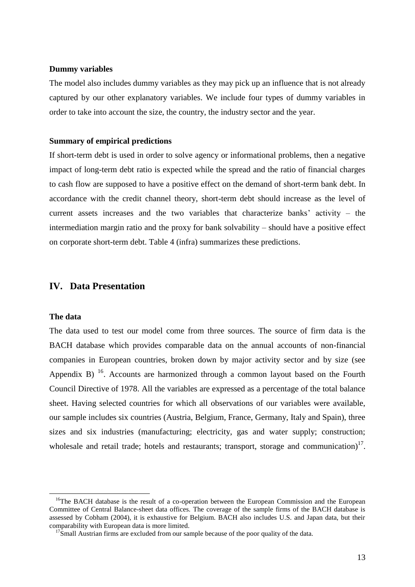## **Dummy variables**

The model also includes dummy variables as they may pick up an influence that is not already captured by our other explanatory variables. We include four types of dummy variables in order to take into account the size, the country, the industry sector and the year.

### **Summary of empirical predictions**

If short-term debt is used in order to solve agency or informational problems, then a negative impact of long-term debt ratio is expected while the spread and the ratio of financial charges to cash flow are supposed to have a positive effect on the demand of short-term bank debt. In accordance with the credit channel theory, short-term debt should increase as the level of current assets increases and the two variables that characterize banks' activity – the intermediation margin ratio and the proxy for bank solvability – should have a positive effect on corporate short-term debt. Table 4 (infra) summarizes these predictions.

# **IV. Data Presentation**

## **The data**

<u>.</u>

The data used to test our model come from three sources. The source of firm data is the BACH database which provides comparable data on the annual accounts of non-financial companies in European countries, broken down by major activity sector and by size (see Appendix B)  $^{16}$ . Accounts are harmonized through a common layout based on the Fourth Council Directive of 1978. All the variables are expressed as a percentage of the total balance sheet. Having selected countries for which all observations of our variables were available, our sample includes six countries (Austria, Belgium, France, Germany, Italy and Spain), three sizes and six industries (manufacturing; electricity, gas and water supply; construction; wholesale and retail trade; hotels and restaurants; transport, storage and communication) $17$ .

<sup>&</sup>lt;sup>16</sup>The BACH database is the result of a co-operation between the European Commission and the European Committee of Central Balance-sheet data offices. The coverage of the sample firms of the BACH database is assessed by Cobham (2004), it is exhaustive for Belgium. BACH also includes U.S. and Japan data, but their comparability with European data is more limited.

 $17$ Small Austrian firms are excluded from our sample because of the poor quality of the data.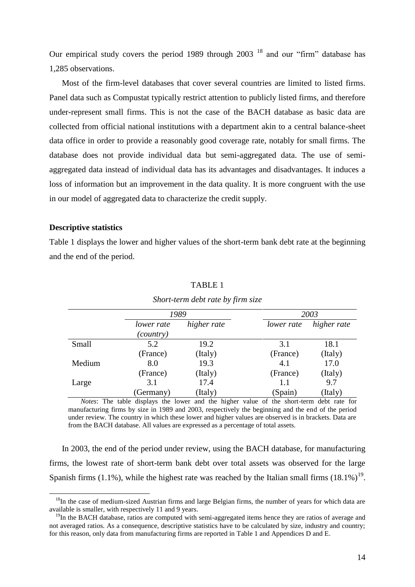Our empirical study covers the period 1989 through  $2003<sup>18</sup>$  and our "firm" database has 1,285 observations.

Most of the firm-level databases that cover several countries are limited to listed firms. Panel data such as Compustat typically restrict attention to publicly listed firms, and therefore under-represent small firms. This is not the case of the BACH database as basic data are collected from official national institutions with a department akin to a central balance-sheet data office in order to provide a reasonably good coverage rate, notably for small firms. The database does not provide individual data but semi-aggregated data. The use of semiaggregated data instead of individual data has its advantages and disadvantages. It induces a loss of information but an improvement in the data quality. It is more congruent with the use in our model of aggregated data to characterize the credit supply.

# **Descriptive statistics**

<u>.</u>

Table 1 displays the lower and higher values of the short-term bank debt rate at the beginning and the end of the period.

|        | 1989                    |             | 2003       |             |  |
|--------|-------------------------|-------------|------------|-------------|--|
|        | lower rate<br>(country) | higher rate | lower rate | higher rate |  |
| Small  | 5.2                     | 19.2        | 3.1        | 18.1        |  |
|        | (France)                | (Italy)     | (France)   | (Italy)     |  |
| Medium | 8.0                     | 19.3        | 4.1        | 17.0        |  |
|        | (France)                | (Italy)     | (France)   | (Italy)     |  |
| Large  | 3.1                     | 17.4        | 1.1        | 9.7         |  |
|        | (Germany)               | (Italy)     | (Spain)    | (Italy)     |  |

### TABLE 1

*Short-term debt rate by firm size*

*Notes*: The table displays the lower and the higher value of the short-term debt rate for manufacturing firms by size in 1989 and 2003, respectively the beginning and the end of the period under review. The country in which these lower and higher values are observed is in brackets. Data are from the BACH database. All values are expressed as a percentage of total assets.

In 2003, the end of the period under review, using the BACH database, for manufacturing firms, the lowest rate of short-term bank debt over total assets was observed for the large Spanish firms (1.1%), while the highest rate was reached by the Italian small firms  $(18.1\%)^{19}$ .

<sup>&</sup>lt;sup>18</sup>In the case of medium-sized Austrian firms and large Belgian firms, the number of years for which data are available is smaller, with respectively 11 and 9 years.

<sup>&</sup>lt;sup>19</sup>In the BACH database, ratios are computed with semi-aggregated items hence they are ratios of average and not averaged ratios. As a consequence, descriptive statistics have to be calculated by size, industry and country; for this reason, only data from manufacturing firms are reported in Table 1 and Appendices D and E.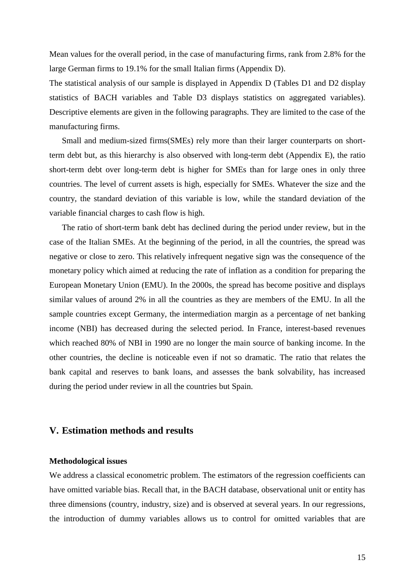Mean values for the overall period, in the case of manufacturing firms, rank from 2.8% for the large German firms to 19.1% for the small Italian firms (Appendix D).

The statistical analysis of our sample is displayed in Appendix D (Tables D1 and D2 display statistics of BACH variables and Table D3 displays statistics on aggregated variables). Descriptive elements are given in the following paragraphs. They are limited to the case of the manufacturing firms.

Small and medium-sized firms(SMEs) rely more than their larger counterparts on shortterm debt but, as this hierarchy is also observed with long-term debt (Appendix E), the ratio short-term debt over long-term debt is higher for SMEs than for large ones in only three countries. The level of current assets is high, especially for SMEs. Whatever the size and the country, the standard deviation of this variable is low, while the standard deviation of the variable financial charges to cash flow is high.

The ratio of short-term bank debt has declined during the period under review, but in the case of the Italian SMEs. At the beginning of the period, in all the countries, the spread was negative or close to zero. This relatively infrequent negative sign was the consequence of the monetary policy which aimed at reducing the rate of inflation as a condition for preparing the European Monetary Union (EMU). In the 2000s, the spread has become positive and displays similar values of around 2% in all the countries as they are members of the EMU. In all the sample countries except Germany, the intermediation margin as a percentage of net banking income (NBI) has decreased during the selected period. In France, interest-based revenues which reached 80% of NBI in 1990 are no longer the main source of banking income. In the other countries, the decline is noticeable even if not so dramatic. The ratio that relates the bank capital and reserves to bank loans, and assesses the bank solvability, has increased during the period under review in all the countries but Spain.

# **V. Estimation methods and results**

## **Methodological issues**

We address a classical econometric problem. The estimators of the regression coefficients can have omitted variable bias. Recall that, in the BACH database, observational unit or entity has three dimensions (country, industry, size) and is observed at several years. In our regressions, the introduction of dummy variables allows us to control for omitted variables that are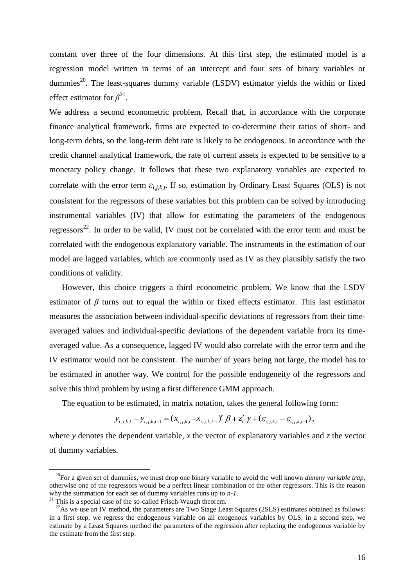constant over three of the four dimensions. At this first step, the estimated model is a regression model written in terms of an intercept and four sets of binary variables or dummies<sup>20</sup>. The least-squares dummy variable (LSDV) estimator yields the within or fixed effect estimator for  $\beta^{21}$ .

We address a second econometric problem. Recall that, in accordance with the corporate finance analytical framework, firms are expected to co-determine their ratios of short- and long-term debts, so the long-term debt rate is likely to be endogenous. In accordance with the credit channel analytical framework, the rate of current assets is expected to be sensitive to a monetary policy change. It follows that these two explanatory variables are expected to correlate with the error term  $\varepsilon_{i,j,k,t}$ . If so, estimation by Ordinary Least Squares (OLS) is not consistent for the regressors of these variables but this problem can be solved by introducing instrumental variables (IV) that allow for estimating the parameters of the endogenous regressors<sup>22</sup>. In order to be valid, IV must not be correlated with the error term and must be correlated with the endogenous explanatory variable. The instruments in the estimation of our model are lagged variables, which are commonly used as IV as they plausibly satisfy the two conditions of validity.

However, this choice triggers a third econometric problem. We know that the LSDV estimator of  $\beta$  turns out to equal the within or fixed effects estimator. This last estimator measures the association between individual-specific deviations of regressors from their timeaveraged values and individual-specific deviations of the dependent variable from its timeaveraged value. As a consequence, lagged IV would also correlate with the error term and the IV estimator would not be consistent. The number of years being not large, the model has to be estimated in another way. We control for the possible endogeneity of the regressors and solve this third problem by using a first difference GMM approach.

The equation to be estimated, in matrix notation, takes the general following form:

$$
y_{i,j,k,t} - y_{i,j,k,t-1} = (x_{i,j,k,t} - x_{i,j,k,t-1})' \beta + z'_t \gamma + (\varepsilon_{i,j,k,t} - \varepsilon_{i,j,k,t-1}),
$$

where *y* denotes the dependent variable, *x* the vector of explanatory variables and *z* the vector of dummy variables.

<u>.</u>

<sup>&</sup>lt;sup>20</sup>For a given set of dummies, we must drop one binary variable to avoid the well known *dummy variable trap*, otherwise one of the regressors would be a perfect linear combination of the other regressors. This is the reason why the summation for each set of dummy variables runs up to *n-1*.

 $21$ <sup>21</sup> This is a special case of the so-called Frisch-Waugh theorem.

 $22$ As we use an IV method, the parameters are Two Stage Least Squares (2SLS) estimates obtained as follows: in a first step, we regress the endogenous variable on all exogenous variables by OLS; in a second step, we estimate by a Least Squares method the parameters of the regression after replacing the endogenous variable by the estimate from the first step.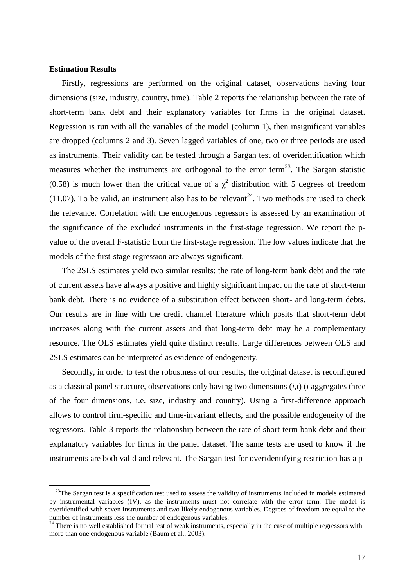## **Estimation Results**

<u>.</u>

Firstly, regressions are performed on the original dataset, observations having four dimensions (size, industry, country, time). Table 2 reports the relationship between the rate of short-term bank debt and their explanatory variables for firms in the original dataset. Regression is run with all the variables of the model (column 1), then insignificant variables are dropped (columns 2 and 3). Seven lagged variables of one, two or three periods are used as instruments. Their validity can be tested through a Sargan test of overidentification which measures whether the instruments are orthogonal to the error term<sup>23</sup>. The Sargan statistic (0.58) is much lower than the critical value of a  $\chi^2$  distribution with 5 degrees of freedom (11.07). To be valid, an instrument also has to be relevant<sup>24</sup>. Two methods are used to check the relevance. Correlation with the endogenous regressors is assessed by an examination of the significance of the excluded instruments in the first-stage regression. We report the pvalue of the overall F-statistic from the first-stage regression. The low values indicate that the models of the first-stage regression are always significant.

The 2SLS estimates yield two similar results: the rate of long-term bank debt and the rate of current assets have always a positive and highly significant impact on the rate of short-term bank debt. There is no evidence of a substitution effect between short- and long-term debts. Our results are in line with the credit channel literature which posits that short-term debt increases along with the current assets and that long-term debt may be a complementary resource. The OLS estimates yield quite distinct results. Large differences between OLS and 2SLS estimates can be interpreted as evidence of endogeneity.

Secondly, in order to test the robustness of our results, the original dataset is reconfigured as a classical panel structure, observations only having two dimensions (*i*,*t*) (*i* aggregates three of the four dimensions, i.e. size, industry and country). Using a first-difference approach allows to control firm-specific and time-invariant effects, and the possible endogeneity of the regressors. Table 3 reports the relationship between the rate of short-term bank debt and their explanatory variables for firms in the panel dataset. The same tests are used to know if the instruments are both valid and relevant. The Sargan test for overidentifying restriction has a p-

<sup>&</sup>lt;sup>23</sup>The Sargan test is a specification test used to assess the validity of instruments included in models estimated by instrumental variables (IV), as the instruments must not correlate with the error term. The model is overidentified with seven instruments and two likely endogenous variables. Degrees of freedom are equal to the number of instruments less the number of endogenous variables.

<sup>&</sup>lt;sup>24</sup> There is no well established formal test of weak instruments, especially in the case of multiple regressors with more than one endogenous variable (Baum et al., 2003).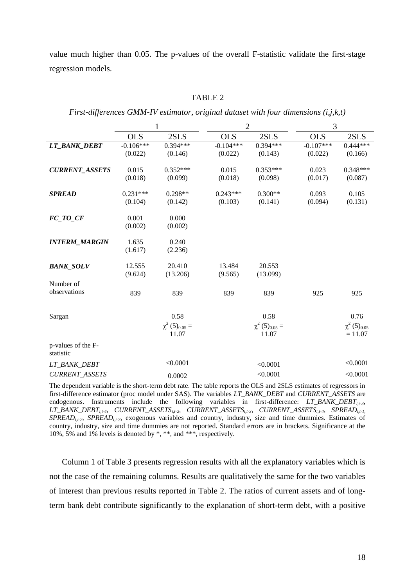value much higher than 0.05. The p-values of the overall F-statistic validate the first-stage regression models.

|                                 | 1                      |                                                 | $\overline{2}$         |                                                 | 3                      |                                                   |
|---------------------------------|------------------------|-------------------------------------------------|------------------------|-------------------------------------------------|------------------------|---------------------------------------------------|
|                                 | <b>OLS</b>             | 2SLS                                            | <b>OLS</b>             | 2SLS                                            | <b>OLS</b>             | 2SLS                                              |
| LT_BANK_DEBT                    | $-0.106***$<br>(0.022) | $0.394***$<br>(0.146)                           | $-0.104***$<br>(0.022) | $0.394***$<br>(0.143)                           | $-0.107***$<br>(0.022) | $0.444***$<br>(0.166)                             |
| <b>CURRENT_ASSETS</b>           | 0.015<br>(0.018)       | $0.352***$<br>(0.099)                           | 0.015<br>(0.018)       | $0.353***$<br>(0.098)                           | 0.023<br>(0.017)       | $0.348***$<br>(0.087)                             |
| <b>SPREAD</b>                   | $0.231***$<br>(0.104)  | $0.298**$<br>(0.142)                            | $0.243***$<br>(0.103)  | $0.300**$<br>(0.141)                            | 0.093<br>(0.094)       | 0.105<br>(0.131)                                  |
| FC TO CF                        | 0.001<br>(0.002)       | 0.000<br>(0.002)                                |                        |                                                 |                        |                                                   |
| <b>INTERM_MARGIN</b>            | 1.635<br>(1.617)       | 0.240<br>(2.236)                                |                        |                                                 |                        |                                                   |
| <b>BANK_SOLV</b>                | 12.555<br>(9.624)      | 20.410<br>(13.206)                              | 13.484<br>(9.565)      | 20.553<br>(13.099)                              |                        |                                                   |
| Number of<br>observations       | 839                    | 839                                             | 839                    | 839                                             | 925                    | 925                                               |
| Sargan                          |                        | 0.58<br>$\chi^2$ (5) <sub>0.05</sub> =<br>11.07 |                        | 0.58<br>$\chi^2$ (5) <sub>0.05</sub> =<br>11.07 |                        | 0.76<br>$\chi^2$ (5) <sub>0.05</sub><br>$= 11.07$ |
| p-values of the F-<br>statistic |                        |                                                 |                        |                                                 |                        |                                                   |
| <i>LT_BANK_DEBT</i>             |                        | < 0.0001                                        |                        | < 0.0001                                        |                        | < 0.0001                                          |
| <b>CURRENT ASSETS</b>           |                        | 0.0002                                          |                        | < 0.0001                                        |                        | < 0.0001                                          |

TABLE 2

*First-differences GMM-IV estimator, original dataset with four dimensions (i,j,k,t)*

The dependent variable is the short-term debt rate. The table reports the OLS and 2SLS estimates of regressors in first-difference estimator (proc model under SAS). The variables *LT\_BANK\_DEBT* and *CURRENT\_ASSETS* are endogenous. Instruments include the following variables in first-difference: *LT\_BANK\_DEBT*<sub>*it-3*</sub>, *LT\_BANK\_DEBTi,t-4*, *CURRENT\_ASSETSi,t-2*, *CURRENT\_ASSETSi,t-3*, *CURRENT\_ASSETSi,t-4*, *SPREADi,t-1, SPREADi,t-2*, *SPREADi,t-3*, exogenous variables and country, industry, size and time dummies. Estimates of country, industry, size and time dummies are not reported. Standard errors are in brackets. Significance at the 10%, 5% and 1% levels is denoted by \*, \*\*, and \*\*\*, respectively.

Column 1 of Table 3 presents regression results with all the explanatory variables which is not the case of the remaining columns. Results are qualitatively the same for the two variables of interest than previous results reported in Table 2. The ratios of current assets and of longterm bank debt contribute significantly to the explanation of short-term debt, with a positive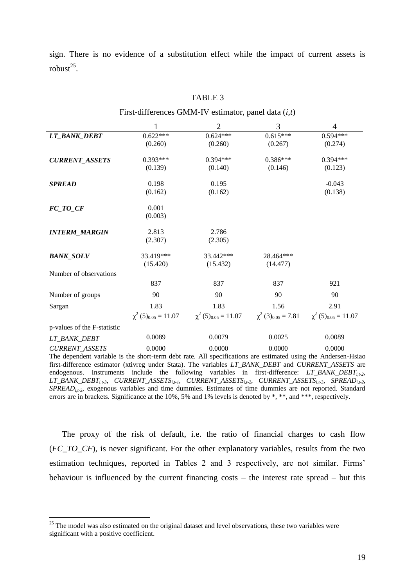sign. There is no evidence of a substitution effect while the impact of current assets is  $robust^{25}$ .

|                             | 1          | $\overline{2}$                                                                                                | 3          | $\overline{4}$                       |
|-----------------------------|------------|---------------------------------------------------------------------------------------------------------------|------------|--------------------------------------|
| LT_BANK_DEBT                | $0.622***$ | $0.624***$                                                                                                    | $0.615***$ | $0.594***$                           |
|                             | (0.260)    | (0.260)                                                                                                       | (0.267)    | (0.274)                              |
| <b>CURRENT_ASSETS</b>       | $0.393***$ | $0.394***$                                                                                                    | $0.386***$ | $0.394***$                           |
|                             | (0.139)    | (0.140)                                                                                                       | (0.146)    | (0.123)                              |
| <b>SPREAD</b>               | 0.198      | 0.195                                                                                                         |            | $-0.043$                             |
|                             | (0.162)    | (0.162)                                                                                                       |            | (0.138)                              |
| $FC\_TO\_CF$                | 0.001      |                                                                                                               |            |                                      |
|                             | (0.003)    |                                                                                                               |            |                                      |
| <b>INTERM_MARGIN</b>        | 2.813      | 2.786                                                                                                         |            |                                      |
|                             | (2.307)    | (2.305)                                                                                                       |            |                                      |
| <b>BANK_SOLV</b>            | 33.419***  | 33.442***                                                                                                     | 28.464***  |                                      |
|                             | (15.420)   | (15.432)                                                                                                      | (14.477)   |                                      |
| Number of observations      |            |                                                                                                               |            |                                      |
|                             | 837        | 837                                                                                                           | 837        | 921                                  |
| Number of groups            | 90         | 90                                                                                                            | 90         | 90                                   |
| Sargan                      | 1.83       | 1.83                                                                                                          | 1.56       | 2.91                                 |
|                             |            | $\chi^2$ (5) <sub>0.05</sub> = 11.07 $\chi^2$ (5) <sub>0.05</sub> = 11.07 $\chi^2$ (3) <sub>0.05</sub> = 7.81 |            | $\chi^2$ (5) <sub>0.05</sub> = 11.07 |
| p-values of the F-statistic |            |                                                                                                               |            |                                      |
| LT_BANK_DEBT                | 0.0089     | 0.0079                                                                                                        | 0.0025     | 0.0089                               |
| <b>CURRENT ASSETS</b>       | 0.0000     | 0.0000                                                                                                        | 0.0000     | 0.0000                               |

TABLE 3

The dependent variable is the short-term debt rate. All specifications are estimated using the Andersen-Hsiao mator (xtivreg under Stata). The variables *LT\_BANK\_DEBT* and *CURRE* endogenous. Instruments include the following variables in first-difference: *LT\_BANK\_DEBT*<sub>*i,t-2*</sub>, *LT\_BANK\_DEBTi,t-3*, *CURRENT\_ASSETSi,t-1*, *CURRENT\_ASSETSi,t-2*, *CURRENT\_ASSETSi,t-3*, *SPREADi,t-2*, *SPREADi,t-3*, exogenous variables and time dummies. Estimates of time dummies are not reported. Standard errors are in brackets. Significance at the 10%, 5% and 1% levels is denoted by \*, \*\*, and \*\*\*, respectively.

The proxy of the risk of default, i.e. the ratio of financial charges to cash flow (*FC\_TO\_CF*), is never significant. For the other explanatory variables, results from the two estimation techniques, reported in Tables 2 and 3 respectively, are not similar. Firms' behaviour is influenced by the current financing costs – the interest rate spread – but this

<u>.</u>

<sup>&</sup>lt;sup>25</sup> The model was also estimated on the original dataset and level observations, these two variables were significant with a positive coefficient.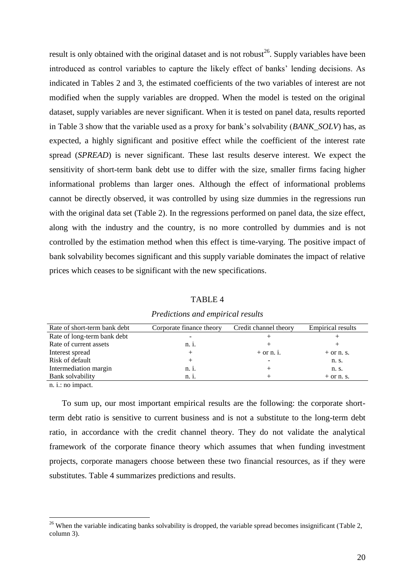result is only obtained with the original dataset and is not robust<sup>26</sup>. Supply variables have been introduced as control variables to capture the likely effect of banks" lending decisions. As indicated in Tables 2 and 3, the estimated coefficients of the two variables of interest are not modified when the supply variables are dropped. When the model is tested on the original dataset, supply variables are never significant. When it is tested on panel data, results reported in Table 3 show that the variable used as a proxy for bank"s solvability (*BANK\_SOLV*) has, as expected, a highly significant and positive effect while the coefficient of the interest rate spread (*SPREAD*) is never significant. These last results deserve interest. We expect the sensitivity of short-term bank debt use to differ with the size, smaller firms facing higher informational problems than larger ones. Although the effect of informational problems cannot be directly observed, it was controlled by using size dummies in the regressions run with the original data set (Table 2). In the regressions performed on panel data, the size effect, along with the industry and the country, is no more controlled by dummies and is not controlled by the estimation method when this effect is time-varying. The positive impact of bank solvability becomes significant and this supply variable dominates the impact of relative prices which ceases to be significant with the new specifications.

TABLE 4

| Rate of short-term bank debt | Corporate finance theory | Credit channel theory | <b>Empirical results</b> |
|------------------------------|--------------------------|-----------------------|--------------------------|
| Rate of long-term bank debt  |                          |                       |                          |
| Rate of current assets       | n. 1.                    |                       |                          |
| Interest spread              |                          | $+$ or n. i.          | $+$ or n. s.             |
| Risk of default              |                          |                       | n. s.                    |
| Intermediation margin        | n.1.                     |                       | n. s.                    |
| Bank solvability             | n. 1.                    |                       | $+$ or n. s.             |
|                              |                          |                       |                          |

*Predictions and empirical results*

n. i.: no impact.

<u>.</u>

To sum up, our most important empirical results are the following: the corporate shortterm debt ratio is sensitive to current business and is not a substitute to the long-term debt ratio, in accordance with the credit channel theory. They do not validate the analytical framework of the corporate finance theory which assumes that when funding investment projects, corporate managers choose between these two financial resources, as if they were substitutes. Table 4 summarizes predictions and results.

 $26$  When the variable indicating banks solvability is dropped, the variable spread becomes insignificant (Table 2, column 3).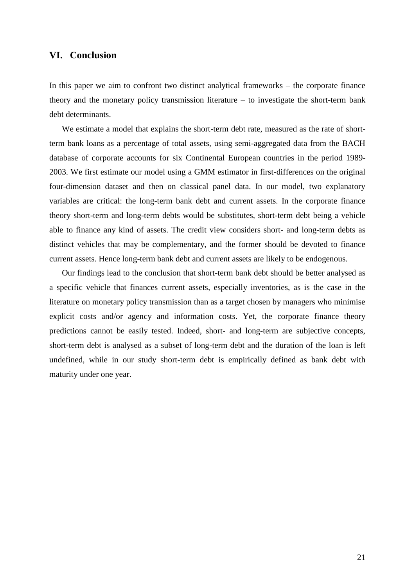# **VI. Conclusion**

In this paper we aim to confront two distinct analytical frameworks – the corporate finance theory and the monetary policy transmission literature – to investigate the short-term bank debt determinants.

We estimate a model that explains the short-term debt rate, measured as the rate of shortterm bank loans as a percentage of total assets, using semi-aggregated data from the BACH database of corporate accounts for six Continental European countries in the period 1989- 2003. We first estimate our model using a GMM estimator in first-differences on the original four-dimension dataset and then on classical panel data. In our model, two explanatory variables are critical: the long-term bank debt and current assets. In the corporate finance theory short-term and long-term debts would be substitutes, short-term debt being a vehicle able to finance any kind of assets. The credit view considers short- and long-term debts as distinct vehicles that may be complementary, and the former should be devoted to finance current assets. Hence long-term bank debt and current assets are likely to be endogenous.

Our findings lead to the conclusion that short-term bank debt should be better analysed as a specific vehicle that finances current assets, especially inventories, as is the case in the literature on monetary policy transmission than as a target chosen by managers who minimise explicit costs and/or agency and information costs. Yet, the corporate finance theory predictions cannot be easily tested. Indeed, short- and long-term are subjective concepts, short-term debt is analysed as a subset of long-term debt and the duration of the loan is left undefined, while in our study short-term debt is empirically defined as bank debt with maturity under one year.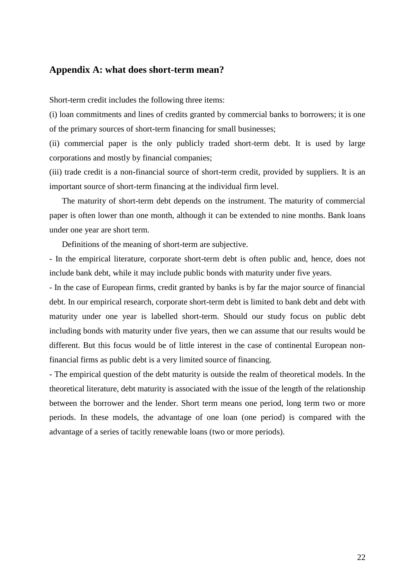# **Appendix A: what does short-term mean?**

Short-term credit includes the following three items:

(i) loan commitments and lines of credits granted by commercial banks to borrowers; it is one of the primary sources of short-term financing for small businesses;

(ii) commercial paper is the only publicly traded short-term debt. It is used by large corporations and mostly by financial companies;

(iii) trade credit is a non-financial source of short-term credit, provided by suppliers. It is an important source of short-term financing at the individual firm level.

The maturity of short-term debt depends on the instrument. The maturity of commercial paper is often lower than one month, although it can be extended to nine months. Bank loans under one year are short term.

Definitions of the meaning of short-term are subjective.

- In the empirical literature, corporate short-term debt is often public and, hence, does not include bank debt, while it may include public bonds with maturity under five years.

- In the case of European firms, credit granted by banks is by far the major source of financial debt. In our empirical research, corporate short-term debt is limited to bank debt and debt with maturity under one year is labelled short-term. Should our study focus on public debt including bonds with maturity under five years, then we can assume that our results would be different. But this focus would be of little interest in the case of continental European nonfinancial firms as public debt is a very limited source of financing.

- The empirical question of the debt maturity is outside the realm of theoretical models. In the theoretical literature, debt maturity is associated with the issue of the length of the relationship between the borrower and the lender. Short term means one period, long term two or more periods. In these models, the advantage of one loan (one period) is compared with the advantage of a series of tacitly renewable loans (two or more periods).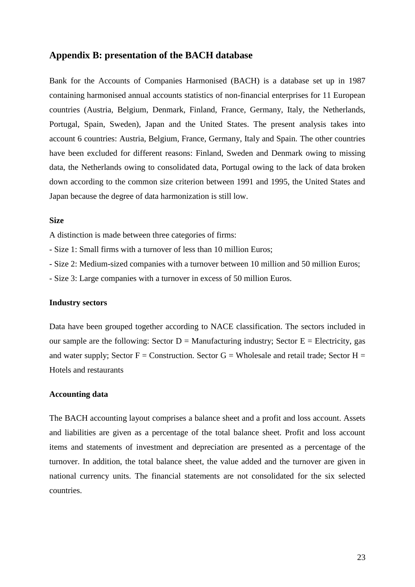# **Appendix B: presentation of the BACH database**

Bank for the Accounts of Companies Harmonised (BACH) is a database set up in 1987 containing harmonised annual accounts statistics of non-financial enterprises for 11 European countries (Austria, Belgium, Denmark, Finland, France, Germany, Italy, the Netherlands, Portugal, Spain, Sweden), Japan and the United States. The present analysis takes into account 6 countries: Austria, Belgium, France, Germany, Italy and Spain. The other countries have been excluded for different reasons: Finland, Sweden and Denmark owing to missing data, the Netherlands owing to consolidated data, Portugal owing to the lack of data broken down according to the common size criterion between 1991 and 1995, the United States and Japan because the degree of data harmonization is still low.

#### **Size**

A distinction is made between three categories of firms:

- Size 1: Small firms with a turnover of less than 10 million Euros;

- Size 2: Medium-sized companies with a turnover between 10 million and 50 million Euros;

- Size 3: Large companies with a turnover in excess of 50 million Euros.

#### **Industry sectors**

Data have been grouped together according to NACE classification. The sectors included in our sample are the following: Sector  $D =$  Manufacturing industry; Sector  $E =$  Electricity, gas and water supply; Sector  $F =$  Construction. Sector  $G =$  Wholesale and retail trade; Sector  $H =$ Hotels and restaurants

# **Accounting data**

The BACH accounting layout comprises a balance sheet and a profit and loss account. Assets and liabilities are given as a percentage of the total balance sheet. Profit and loss account items and statements of investment and depreciation are presented as a percentage of the turnover. In addition, the total balance sheet, the value added and the turnover are given in national currency units. The financial statements are not consolidated for the six selected countries.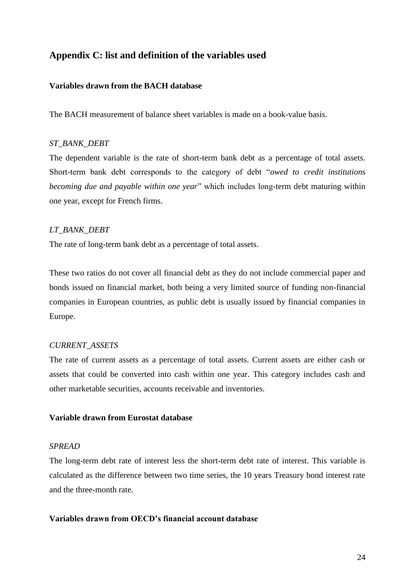# **Appendix C: list and definition of the variables used**

# **Variables drawn from the BACH database**

The BACH measurement of balance sheet variables is made on a book-value basis.

# *ST\_BANK\_DEBT*

The dependent variable is the rate of short-term bank debt as a percentage of total assets. Short-term bank debt corresponds to the category of debt "*owed to credit institutions becoming due and payable within one year*" which includes long-term debt maturing within one year, except for French firms.

# *LT\_BANK\_DEBT*

The rate of long-term bank debt as a percentage of total assets.

These two ratios do not cover all financial debt as they do not include commercial paper and bonds issued on financial market, both being a very limited source of funding non-financial companies in European countries, as public debt is usually issued by financial companies in Europe.

# *CURRENT\_ASSETS*

The rate of current assets as a percentage of total assets. Current assets are either cash or assets that could be converted into cash within one year. This category includes cash and other marketable securities, accounts receivable and inventories.

# **Variable drawn from Eurostat database**

# *SPREAD*

The long-term debt rate of interest less the short-term debt rate of interest. This variable is calculated as the difference between two time series, the 10 years Treasury bond interest rate and the three-month rate.

# **Variables drawn from OECD's financial account database**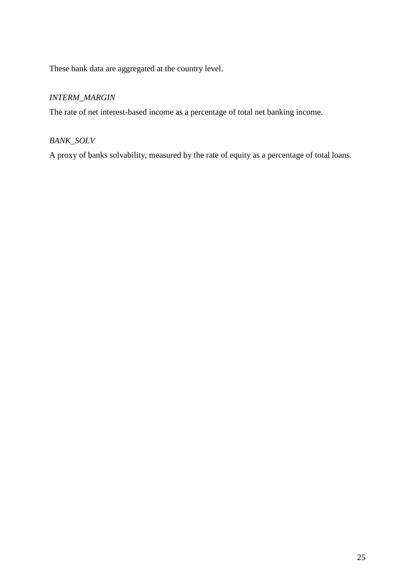These bank data are aggregated at the country level.

# *INTERM\_MARGIN*

The rate of net interest-based income as a percentage of total net banking income.

# *BANK\_SOLV*

A proxy of banks solvability, measured by the rate of equity as a percentage of total loans.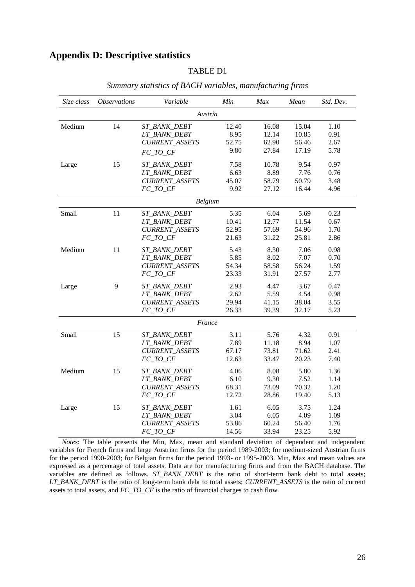# **Appendix D: Descriptive statistics**

# TABLE D1

| Size class | <b>Observations</b> | Variable              | Min   | Max   | Mean  | Std. Dev. |  |  |
|------------|---------------------|-----------------------|-------|-------|-------|-----------|--|--|
| Austria    |                     |                       |       |       |       |           |  |  |
| Medium     | 14                  | ST BANK DEBT          | 12.40 | 16.08 | 15.04 | 1.10      |  |  |
|            |                     | LT_BANK_DEBT          | 8.95  | 12.14 | 10.85 | 0.91      |  |  |
|            |                     | <b>CURRENT_ASSETS</b> | 52.75 | 62.90 | 56.46 | 2.67      |  |  |
|            |                     | FC TO CF              | 9.80  | 27.84 | 17.19 | 5.78      |  |  |
| Large      | 15                  | ST_BANK_DEBT          | 7.58  | 10.78 | 9.54  | 0.97      |  |  |
|            |                     | LT_BANK_DEBT          | 6.63  | 8.89  | 7.76  | 0.76      |  |  |
|            |                     | <b>CURRENT_ASSETS</b> | 45.07 | 58.79 | 50.79 | 3.48      |  |  |
|            |                     | FC TO CF              | 9.92  | 27.12 | 16.44 | 4.96      |  |  |
|            |                     | <b>Belgium</b>        |       |       |       |           |  |  |
| Small      | 11                  | ST_BANK_DEBT          | 5.35  | 6.04  | 5.69  | 0.23      |  |  |
|            |                     | LT_BANK_DEBT          | 10.41 | 12.77 | 11.54 | 0.67      |  |  |
|            |                     | CURRENT_ASSETS        | 52.95 | 57.69 | 54.96 | 1.70      |  |  |
|            |                     | FC_TO_CF              | 21.63 | 31.22 | 25.81 | 2.86      |  |  |
| Medium     | 11                  | ST_BANK_DEBT          | 5.43  | 8.30  | 7.06  | 0.98      |  |  |
|            |                     | LT_BANK_DEBT          | 5.85  | 8.02  | 7.07  | 0.70      |  |  |
|            |                     | <b>CURRENT_ASSETS</b> | 54.34 | 58.58 | 56.24 | 1.59      |  |  |
|            |                     | FC_TO_CF              | 23.33 | 31.91 | 27.57 | 2.77      |  |  |
| Large      | 9                   | ST_BANK_DEBT          | 2.93  | 4.47  | 3.67  | 0.47      |  |  |
|            |                     | LT_BANK_DEBT          | 2.62  | 5.59  | 4.54  | 0.98      |  |  |
|            |                     | CURRENT_ASSETS        | 29.94 | 41.15 | 38.04 | 3.55      |  |  |
|            |                     | $FC\_TO\_CF$          | 26.33 | 39.39 | 32.17 | 5.23      |  |  |
|            |                     | France                |       |       |       |           |  |  |
| Small      | 15                  | <i>ST_BANK_DEBT</i>   | 3.11  | 5.76  | 4.32  | 0.91      |  |  |
|            |                     | LT_BANK_DEBT          | 7.89  | 11.18 | 8.94  | 1.07      |  |  |
|            |                     | <b>CURRENT_ASSETS</b> | 67.17 | 73.81 | 71.62 | 2.41      |  |  |
|            |                     | FC_TO_CF              | 12.63 | 33.47 | 20.23 | 7.40      |  |  |
| Medium     | 15                  | ST_BANK_DEBT          | 4.06  | 8.08  | 5.80  | 1.36      |  |  |
|            |                     | LT_BANK_DEBT          | 6.10  | 9.30  | 7.52  | 1.14      |  |  |
|            |                     | <b>CURRENT_ASSETS</b> | 68.31 | 73.09 | 70.32 | 1.20      |  |  |
|            |                     | FC_TO_CF              | 12.72 | 28.86 | 19.40 | 5.13      |  |  |
| Large      | 15                  | ST_BANK_DEBT          | 1.61  | 6.05  | 3.75  | 1.24      |  |  |
|            |                     | LT_BANK_DEBT          | 3.04  | 6.05  | 4.09  | 1.09      |  |  |
|            |                     | CURRENT_ASSETS        | 53.86 | 60.24 | 56.40 | 1.76      |  |  |
|            |                     | FC TO CF              | 14.56 | 33.94 | 23.25 | 5.92      |  |  |

## *Summary statistics of BACH variables, manufacturing firms*

*Notes*: The table presents the Min, Max, mean and standard deviation of dependent and independent variables for French firms and large Austrian firms for the period 1989-2003; for medium-sized Austrian firms for the period 1990-2003; for Belgian firms for the period 1993- or 1995-2003. Min, Max and mean values are expressed as a percentage of total assets. Data are for manufacturing firms and from the BACH database. The variables are defined as follows. *ST\_BANK\_DEBT* is the ratio of short-term bank debt to total assets; *LT\_BANK\_DEBT* is the ratio of long-term bank debt to total assets; *CURRENT\_ASSETS* is the ratio of current assets to total assets, and *FC\_TO\_CF* is the ratio of financial charges to cash flow.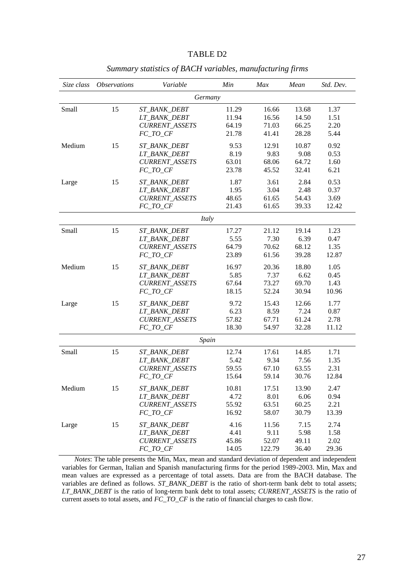| TABLE D2 |  |
|----------|--|
|----------|--|

| Size class | <i><b>Observations</b></i> | Variable              | Min   | Max    | Mean  | Std. Dev. |
|------------|----------------------------|-----------------------|-------|--------|-------|-----------|
|            |                            | Germany               |       |        |       |           |
| Small      | 15                         | <i>ST_BANK_DEBT</i>   | 11.29 | 16.66  | 13.68 | 1.37      |
|            |                            | LT_BANK_DEBT          | 11.94 | 16.56  | 14.50 | 1.51      |
|            |                            | <b>CURRENT_ASSETS</b> | 64.19 | 71.03  | 66.25 | 2.20      |
|            |                            | $FC\_TO\_CF$          | 21.78 | 41.41  | 28.28 | 5.44      |
| Medium     | 15                         | ST_BANK_DEBT          | 9.53  | 12.91  | 10.87 | 0.92      |
|            |                            | LT_BANK_DEBT          | 8.19  | 9.83   | 9.08  | 0.53      |
|            |                            | CURRENT_ASSETS        | 63.01 | 68.06  | 64.72 | 1.60      |
|            |                            | $FC\_TO\_CF$          | 23.78 | 45.52  | 32.41 | 6.21      |
| Large      | 15                         | ST_BANK_DEBT          | 1.87  | 3.61   | 2.84  | 0.53      |
|            |                            | LT_BANK_DEBT          | 1.95  | 3.04   | 2.48  | 0.37      |
|            |                            | <b>CURRENT_ASSETS</b> | 48.65 | 61.65  | 54.43 | 3.69      |
|            |                            | $FC\_TO\_CF$          | 21.43 | 61.65  | 39.33 | 12.42     |
|            |                            | Italy                 |       |        |       |           |
| Small      | 15                         | ST BANK DEBT          | 17.27 | 21.12  | 19.14 | 1.23      |
|            |                            | LT_BANK_DEBT          | 5.55  | 7.30   | 6.39  | 0.47      |
|            |                            | <b>CURRENT_ASSETS</b> | 64.79 | 70.62  | 68.12 | 1.35      |
|            |                            | $FC\_TO\_CF$          | 23.89 | 61.56  | 39.28 | 12.87     |
| Medium     | 15                         | ST_BANK_DEBT          | 16.97 | 20.36  | 18.80 | 1.05      |
|            |                            | LT_BANK_DEBT          | 5.85  | 7.37   | 6.62  | 0.45      |
|            |                            | CURRENT_ASSETS        | 67.64 | 73.27  | 69.70 | 1.43      |
|            |                            | $FC\_TO\_CF$          | 18.15 | 52.24  | 30.94 | 10.96     |
| Large      | 15                         | ST_BANK_DEBT          | 9.72  | 15.43  | 12.66 | 1.77      |
|            |                            | LT_BANK_DEBT          | 6.23  | 8.59   | 7.24  | 0.87      |
|            |                            | <b>CURRENT_ASSETS</b> | 57.82 | 67.71  | 61.24 | 2.78      |
|            |                            | FC_TO_CF              | 18.30 | 54.97  | 32.28 | 11.12     |
|            |                            | Spain                 |       |        |       |           |
| Small      | 15                         | ST_BANK_DEBT          | 12.74 | 17.61  | 14.85 | 1.71      |
|            |                            | LT BANK DEBT          | 5.42  | 9.34   | 7.56  | 1.35      |
|            |                            | <b>CURRENT_ASSETS</b> | 59.55 | 67.10  | 63.55 | 2.31      |
|            |                            | $FC\_TO\_CF$          | 15.64 | 59.14  | 30.76 | 12.84     |
| Medium     | 15                         | ST_BANK_DEBT          | 10.81 | 17.51  | 13.90 | 2.47      |
|            |                            | LT_BANK_DEBT          | 4.72  | 8.01   | 6.06  | 0.94      |
|            |                            | <b>CURRENT_ASSETS</b> | 55.92 | 63.51  | 60.25 | 2.21      |
|            |                            | FC TO CF              | 16.92 | 58.07  | 30.79 | 13.39     |
| Large      | 15                         | ST_BANK_DEBT          | 4.16  | 11.56  | 7.15  | 2.74      |
|            |                            | LT_BANK_DEBT          | 4.41  | 9.11   | 5.98  | 1.58      |
|            |                            | <b>CURRENT ASSETS</b> | 45.86 | 52.07  | 49.11 | 2.02      |
|            |                            | $FC\_TO\_CF$          | 14.05 | 122.79 | 36.40 | 29.36     |

*Summary statistics of BACH variables, manufacturing firms*

*Notes*: The table presents the Min, Max, mean and standard deviation of dependent and independent variables for German, Italian and Spanish manufacturing firms for the period 1989-2003. Min, Max and mean values are expressed as a percentage of total assets. Data are from the BACH database. The variables are defined as follows. *ST\_BANK\_DEBT* is the ratio of short-term bank debt to total assets; *LT\_BANK\_DEBT* is the ratio of long-term bank debt to total assets; *CURRENT\_ASSETS* is the ratio of current assets to total assets, and *FC\_TO\_CF* is the ratio of financial charges to cash flow.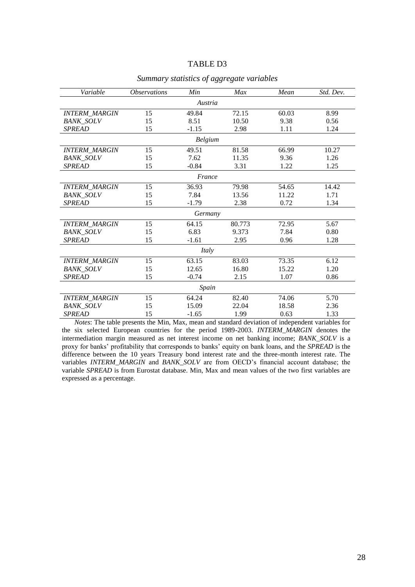#### TABLE D3

| Variable             | <i><b>Observations</b></i> | Min     | Max    | Mean  | Std. Dev. |
|----------------------|----------------------------|---------|--------|-------|-----------|
|                      |                            | Austria |        |       |           |
| <b>INTERM_MARGIN</b> | 15                         | 49.84   | 72.15  | 60.03 | 8.99      |
| <b>BANK SOLV</b>     | 15                         | 8.51    | 10.50  | 9.38  | 0.56      |
| <b>SPREAD</b>        | 15                         | $-1.15$ | 2.98   | 1.11  | 1.24      |
|                      |                            | Belgium |        |       |           |
| <b>INTERM_MARGIN</b> | 15                         | 49.51   | 81.58  | 66.99 | 10.27     |
| <b>BANK_SOLV</b>     | 15                         | 7.62    | 11.35  | 9.36  | 1.26      |
| <b>SPREAD</b>        | 15                         | $-0.84$ | 3.31   | 1.22  | 1.25      |
|                      |                            | France  |        |       |           |
| <b>INTERM_MARGIN</b> | 15                         | 36.93   | 79.98  | 54.65 | 14.42     |
| <b>BANK_SOLV</b>     | 15                         | 7.84    | 13.56  | 11.22 | 1.71      |
| <b>SPREAD</b>        | 15                         | $-1.79$ | 2.38   | 0.72  | 1.34      |
|                      |                            | Germany |        |       |           |
| <b>INTERM_MARGIN</b> | 15                         | 64.15   | 80.773 | 72.95 | 5.67      |
| <b>BANK_SOLV</b>     | 15                         | 6.83    | 9.373  | 7.84  | 0.80      |
| <b>SPREAD</b>        | 15                         | $-1.61$ | 2.95   | 0.96  | 1.28      |
|                      |                            | Italy   |        |       |           |
| <b>INTERM_MARGIN</b> | 15                         | 63.15   | 83.03  | 73.35 | 6.12      |
| <b>BANK_SOLV</b>     | 15                         | 12.65   | 16.80  | 15.22 | 1.20      |
| <b>SPREAD</b>        | 15                         | $-0.74$ | 2.15   | 1.07  | 0.86      |
| Spain                |                            |         |        |       |           |
| <b>INTERM_MARGIN</b> | 15                         | 64.24   | 82.40  | 74.06 | 5.70      |
| <b>BANK_SOLV</b>     | 15                         | 15.09   | 22.04  | 18.58 | 2.36      |
| <b>SPREAD</b>        | 15                         | $-1.65$ | 1.99   | 0.63  | 1.33      |

#### *Summary statistics of aggregate variables*

*Notes*: The table presents the Min, Max, mean and standard deviation of independent variables for the six selected European countries for the period 1989-2003. *INTERM\_MARGIN* denotes the intermediation margin measured as net interest income on net banking income; *BANK\_SOLV* is a proxy for banks" profitability that corresponds to banks" equity on bank loans, and the *SPREAD* is the difference between the 10 years Treasury bond interest rate and the three-month interest rate. The variables *INTERM\_MARGIN* and *BANK\_SOLV* are from OECD"s financial account database; the variable *SPREAD* is from Eurostat database. Min, Max and mean values of the two first variables are expressed as a percentage.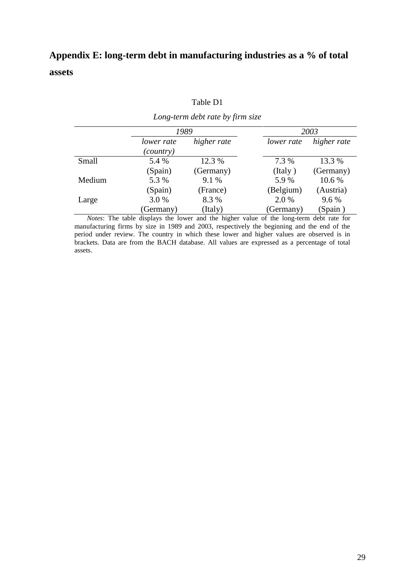# **Appendix E: long-term debt in manufacturing industries as a % of total assets**

|  | Table D1 |
|--|----------|
|--|----------|

| Long-term debt rate by firm size |                         |             |            |             |  |  |
|----------------------------------|-------------------------|-------------|------------|-------------|--|--|
|                                  | 1989                    |             | 2003       |             |  |  |
|                                  | lower rate<br>(country) | higher rate | lower rate | higher rate |  |  |
| Small                            | 5.4 %                   | 12.3 %      | 7.3 %      | 13.3 %      |  |  |
|                                  | (Spain)                 | (Germany)   | (Italy)    | (Germany)   |  |  |
| Medium                           | 5.3 %                   | $9.1\%$     | 5.9%       | 10.6 %      |  |  |
|                                  | (Spain)                 | (France)    | (Belgium)  | (Austria)   |  |  |
| Large                            | 3.0 %                   | 8.3%        | $2.0\%$    | 9.6 %       |  |  |
|                                  | (Germany)               | (Italy)     | (Germany)  | (Spain)     |  |  |

*Notes*: The table displays the lower and the higher value of the long-term debt rate for manufacturing firms by size in 1989 and 2003, respectively the beginning and the end of the period under review. The country in which these lower and higher values are observed is in brackets. Data are from the BACH database. All values are expressed as a percentage of total assets.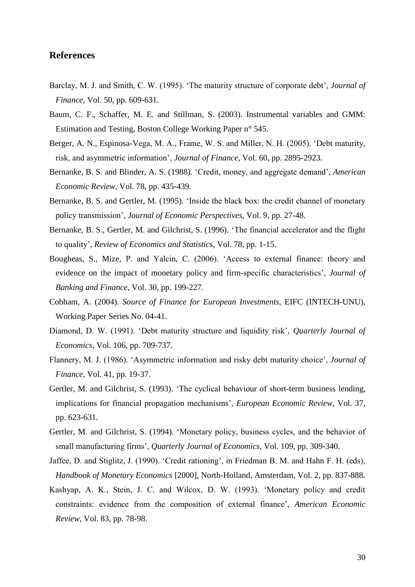# **References**

- Barclay, M. J. and Smith, C. W. (1995). "The maturity structure of corporate debt", *Journal of Finance*, Vol. 50, pp. 609-631.
- Baum, C. F., Schaffer, M. E. and Stillman, S. (2003). Instrumental variables and GMM: Estimation and Testing, Boston College Working Paper n° 545.
- Berger, A. N., Espinosa-Vega, M. A., Frame, W. S. and Miller, N. H. (2005). "Debt maturity, risk, and asymmetric information", *Journal of Finance*, Vol. 60, pp. 2895-2923.
- Bernanke, B. S. and Blinder, A. S. (1988). "Credit, money, and aggregate demand", *American Economic Review*, Vol. 78, pp. 435-439.
- Bernanke, B. S. and Gertler, M. (1995). "Inside the black box: the credit channel of monetary policy transmission", *Journal of Economic Perspectives*, Vol. 9, pp. 27-48.
- Bernanke, B. S., Gertler, M. and Gilchrist, S. (1996). "The financial accelerator and the flight to quality", *Review of Economics and Statistics*, Vol. 78, pp. 1-15.
- Bougheas, S., Mize, P. and Yalcin, C. (2006). "Access to external finance: theory and evidence on the impact of monetary policy and firm-specific characteristics', *Journal of Banking and Finance*, Vol. 30, pp. 199-227.
- Cobham, A. (2004). *Source of Finance for European Investments*, EIFC (INTECH-UNU), Working Paper Series No. 04-41.
- Diamond, D. W. (1991). "Debt maturity structure and liquidity risk", *Quarterly Journal of Economics*, Vol. 106, pp. 709-737.
- Flannery, M. J. (1986). "Asymmetric information and risky debt maturity choice", *Journal of Finance*, Vol. 41, pp. 19-37.
- Gertler, M. and Gilchrist, S. (1993). "The cyclical behaviour of short-term business lending, implications for financial propagation mechanisms", *European Economic Review*, Vol. 37, pp. 623-631.
- Gertler, M. and Gilchrist, S. (1994). "Monetary policy, business cycles, and the behavior of small manufacturing firms", *Quarterly Journal of Economics*, Vol. 109, pp. 309-340.
- Jaffee, D. and Stiglitz, J. (1990). "Credit rationing", in Friedman B. M. and Hahn F. H. (eds), *Handbook of Monetary Economics* [2000], North-Holland, Amsterdam, Vol. 2, pp. 837-888.
- Kashyap, A. K., Stein, J. C. and Wilcox, D. W. (1993). "Monetary policy and credit constraints: evidence from the composition of external finance", *American Economic Review*, Vol. 83, pp. 78-98.